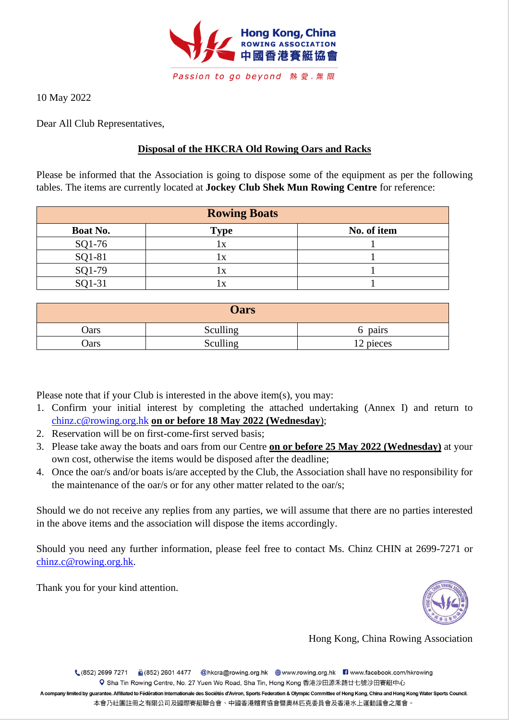

10 May 2022

Dear All Club Representatives,

# **Disposal of the HKCRA Old Rowing Oars and Racks**

Please be informed that the Association is going to dispose some of the equipment as per the following tables. The items are currently located at **Jockey Club Shek Mun Rowing Centre** for reference:

|          | <b>Rowing Boats</b> |             |
|----------|---------------------|-------------|
| Boat No. | <b>Type</b>         | No. of item |
| SQ1-76   |                     |             |
| SQ1-81   |                     |             |
| SQ1-79   |                     |             |
| SQ1-31   |                     |             |

|      | <b>Oars</b> |           |
|------|-------------|-----------|
| Oars | Sculling    | 6 pairs   |
| Oars | Sculling    | 12 pieces |

Please note that if your Club is interested in the above item(s), you may:

- 1. Confirm your initial interest by completing the attached undertaking (Annex I) and return to [chinz.c@rowing.org.hk](mailto:chinz.c@rowing.org.hk) **on or before 18 May 2022 (Wednesday**);
- 2. Reservation will be on first-come-first served basis;
- 3. Please take away the boats and oars from our Centre **on or before 25 May 2022 (Wednesday)** at your own cost, otherwise the items would be disposed after the deadline;
- 4. Once the oar/s and/or boats is/are accepted by the Club, the Association shall have no responsibility for the maintenance of the oar/s or for any other matter related to the oar/s;

Should we do not receive any replies from any parties, we will assume that there are no parties interested in the above items and the association will dispose the items accordingly.

Should you need any further information, please feel free to contact Ms. Chinz CHIN at 2699-7271 or [chinz.c@rowing.org.hk.](mailto:chinz.c@rowing.org.hk)

Thank you for your kind attention.



Hong Kong, China Rowing Association

(852) 2699 7271 (3652) 2601 4477 @hkcra@rowing.org.hk (a) www.rowing.org.hk 3 www.facebook.com/hkrowing Q Sha Tin Rowing Centre, No. 27 Yuen Wo Road, Sha Tin, Hong Kong 香港沙田源禾路廿七號沙田賽艇中心

A company limited by guarantee. Affiliated to Fédération Internationale des Sociétés d'Aviron, Sports Federation & Olympic Committee of Hong Kong, China and Hong Kong Water Sports Council. 本會乃社團註冊之有限公司及國際賽艇聯合會、中國香港體育協會暨奧林匹克委員會及香港水上運動議會之屬會。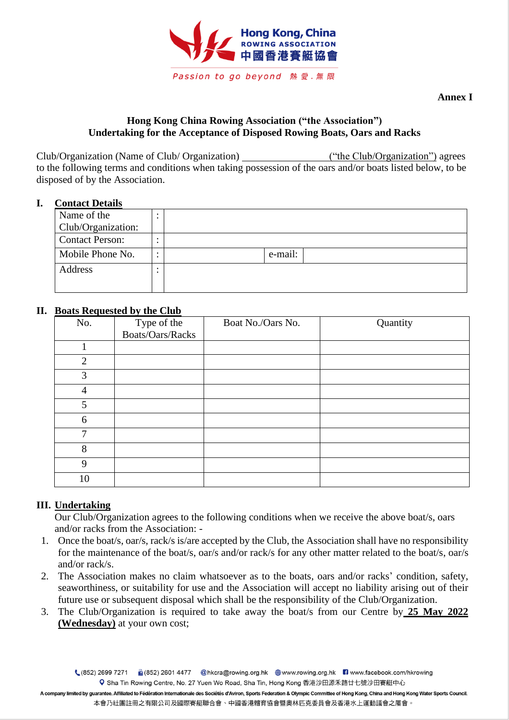

**Annex I**

## **Hong Kong China Rowing Association ("the Association") Undertaking for the Acceptance of Disposed Rowing Boats, Oars and Racks**

Club/Organization (Name of Club/ Organization) ("the Club/Organization") agrees to the following terms and conditions when taking possession of the oars and/or boats listed below, to be disposed of by the Association.

### **I. Contact Details**

| Name of the            | $\bullet$<br>٠         |         |
|------------------------|------------------------|---------|
| Club/Organization:     |                        |         |
| <b>Contact Person:</b> | $\bullet$              |         |
| Mobile Phone No.       | $\bullet$<br>$\bullet$ | e-mail: |
| Address                | ٠                      |         |
|                        |                        |         |

## **II. Boats Requested by the Club**

| No. | Type of the<br>Boats/Oars/Racks | Boat No./Oars No. | Quantity |
|-----|---------------------------------|-------------------|----------|
|     |                                 |                   |          |
| 1   |                                 |                   |          |
| 2   |                                 |                   |          |
| 3   |                                 |                   |          |
| 4   |                                 |                   |          |
| 5   |                                 |                   |          |
| 6   |                                 |                   |          |
| 7   |                                 |                   |          |
| 8   |                                 |                   |          |
| 9   |                                 |                   |          |
| 10  |                                 |                   |          |

## **III. Undertaking**

Our Club/Organization agrees to the following conditions when we receive the above boat/s, oars and/or racks from the Association: -

- 1. Once the boat/s, oar/s, rack/s is/are accepted by the Club, the Association shall have no responsibility for the maintenance of the boat/s, oar/s and/or rack/s for any other matter related to the boat/s, oar/s and/or rack/s.
- 2. The Association makes no claim whatsoever as to the boats, oars and/or racks' condition, safety, seaworthiness, or suitability for use and the Association will accept no liability arising out of their future use or subsequent disposal which shall be the responsibility of the Club/Organization.
- 3. The Club/Organization is required to take away the boat/s from our Centre by **25 May 2022 (Wednesday)** at your own cost;

(852) 2699 7271 (3652) 2601 4477 @hkcra@rowing.org.hk (a) www.rowing.org.hk 3 www.facebook.com/hkrowing Q Sha Tin Rowing Centre, No. 27 Yuen Wo Road, Sha Tin, Hong Kong 香港沙田源禾路廿七號沙田賽艇中心